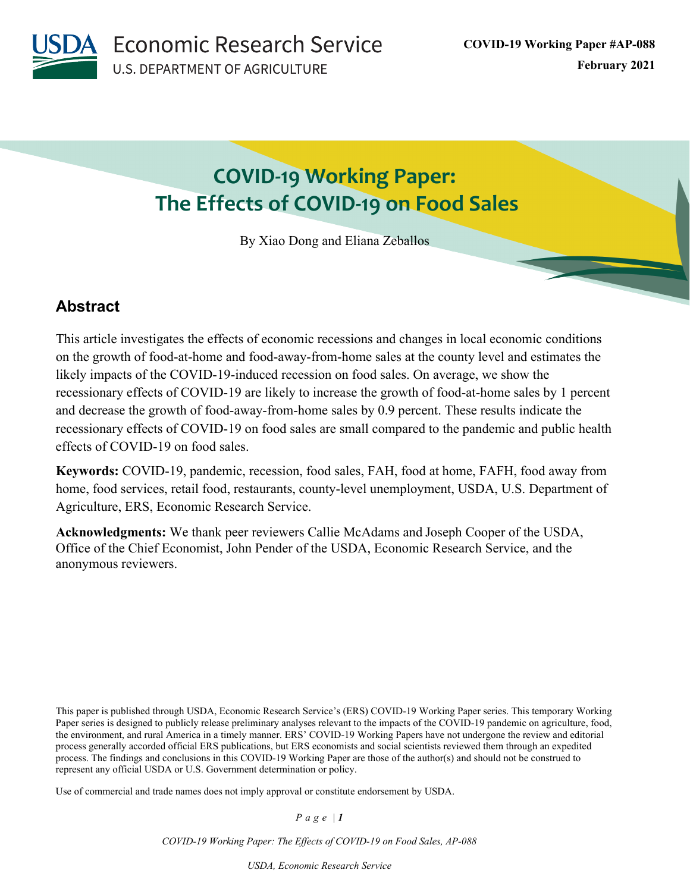**Economic Research Service U.S. DEPARTMENT OF AGRICULTURE** 

# **COVID-19 Working Paper: The Effects of COVID-19 on Food Sales**

By Xiao Dong and Eliana Zeballos

# **Abstract**

This article investigates the effects of economic recessions and changes in local economic conditions on the growth of food-at-home and food-away-from-home sales at the county level and estimates the likely impacts of the COVID-19-induced recession on food sales. On average, we show the recessionary effects of COVID-19 are likely to increase the growth of food-at-home sales by 1 percent and decrease the growth of food-away-from-home sales by 0.9 percent. These results indicate the recessionary effects of COVID-19 on food sales are small compared to the pandemic and public health effects of COVID-19 on food sales.

**Keywords:** COVID-19, pandemic, recession, food sales, FAH, food at home, FAFH, food away from home, food services, retail food, restaurants, county-level unemployment, USDA, U.S. Department of Agriculture, ERS, Economic Research Service.

**Acknowledgments:** We thank peer reviewers Callie McAdams and Joseph Cooper of the USDA, Office of the Chief Economist, John Pender of the USDA, Economic Research Service, and the anonymous reviewers.

This paper is published through USDA, Economic Research Service's (ERS) COVID-19 Working Paper series. This temporary Working Paper series is designed to publicly release preliminary analyses relevant to the impacts of the COVID-19 pandemic on agriculture, food, the environment, and rural America in a timely manner. ERS' COVID-19 Working Papers have not undergone the review and editorial process generally accorded official ERS publications, but ERS economists and social scientists reviewed them through an expedited process. The findings and conclusions in this COVID-19 Working Paper are those of the author(s) and should not be construed to represent any official USDA or U.S. Government determination or policy.

Use of commercial and trade names does not imply approval or constitute endorsement by USDA.

*Page | 1*

*COVID-19 Working Paper: The Effects of COVID-19 on Food Sales, AP-088*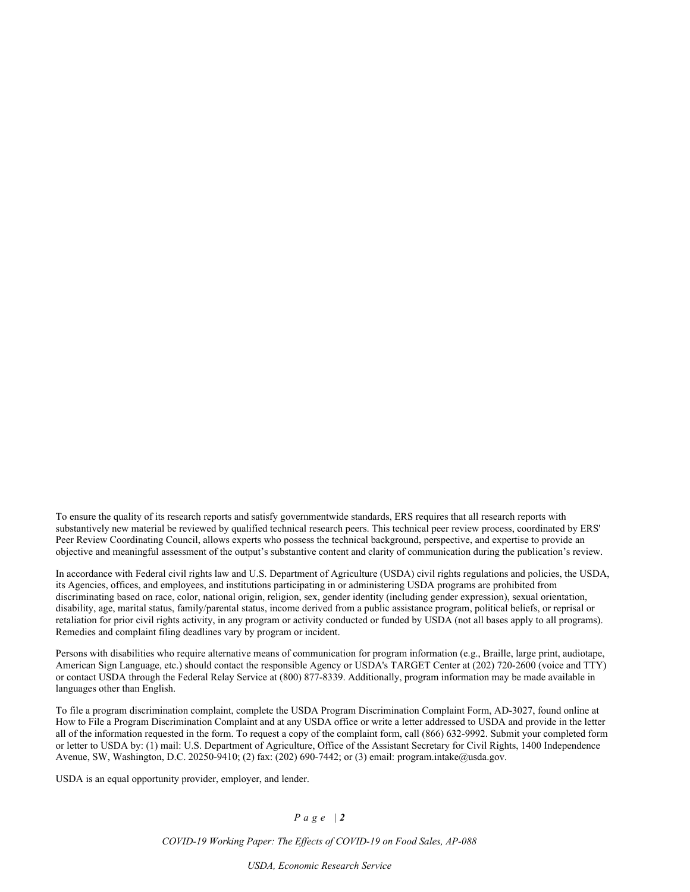To ensure the quality of its research reports and satisfy governmentwide standards, ERS requires that all research reports with substantively new material be reviewed by qualified technical research peers. This technical peer review process, coordinated by ERS' Peer Review Coordinating Council, allows experts who possess the technical background, perspective, and expertise to provide an objective and meaningful assessment of the output's substantive content and clarity of communication during the publication's review.

In accordance with Federal civil rights law and U.S. Department of Agriculture (USDA) civil rights regulations and policies, the USDA, its Agencies, offices, and employees, and institutions participating in or administering USDA programs are prohibited from discriminating based on race, color, national origin, religion, sex, gender identity (including gender expression), sexual orientation, disability, age, marital status, family/parental status, income derived from a public assistance program, political beliefs, or reprisal or retaliation for prior civil rights activity, in any program or activity conducted or funded by USDA (not all bases apply to all programs). Remedies and complaint filing deadlines vary by program or incident.

Persons with disabilities who require alternative means of communication for program information (e.g., Braille, large print, audiotape, American Sign Language, etc.) should contact the responsible Agency or USDA's TARGET Center at (202) 720-2600 (voice and TTY) or contact USDA through the Federal Relay Service at (800) 877-8339. Additionally, program information may be made available in languages other than English.

To file a program discrimination complaint, complete the USDA Program Discrimination Complaint Form, AD-3027, found online at How to File a Program Discrimination Complaint and at any USDA office or write a letter addressed to USDA and provide in the letter all of the information requested in the form. To request a copy of the complaint form, call (866) 632-9992. Submit your completed form or letter to USDA by: (1) mail: U.S. Department of Agriculture, Office of the Assistant Secretary for Civil Rights, 1400 Independence Avenue, SW, Washington, D.C. 20250-9410; (2) fax: (202) 690-7442; or (3) email: program.intake@usda.gov.

USDA is an equal opportunity provider, employer, and lender.

### *Page | 2*

*COVID-19 Working Paper: The Effects of COVID-19 on Food Sales, AP-088*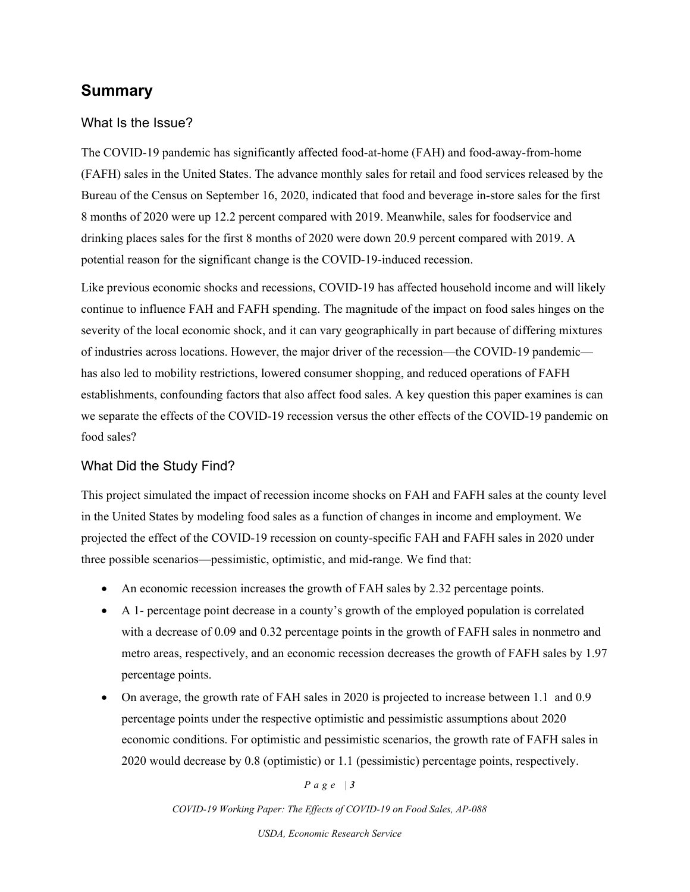# **Summary**

### What Is the Issue?

The COVID-19 pandemic has significantly affected food-at-home (FAH) and food-away-from-home (FAFH) sales in the United States. The advance monthly sales for retail and food services released by the Bureau of the Census on September 16, 2020, indicated that food and beverage in-store sales for the first 8 months of 2020 were up 12.2 percent compared with 2019. Meanwhile, sales for foodservice and drinking places sales for the first 8 months of 2020 were down 20.9 percent compared with 2019. A potential reason for the significant change is the COVID-19-induced recession.

Like previous economic shocks and recessions, COVID-19 has affected household income and will likely continue to influence FAH and FAFH spending. The magnitude of the impact on food sales hinges on the severity of the local economic shock, and it can vary geographically in part because of differing mixtures of industries across locations. However, the major driver of the recession—the COVID-19 pandemic has also led to mobility restrictions, lowered consumer shopping, and reduced operations of FAFH establishments, confounding factors that also affect food sales. A key question this paper examines is can we separate the effects of the COVID-19 recession versus the other effects of the COVID-19 pandemic on food sales?

### What Did the Study Find?

This project simulated the impact of recession income shocks on FAH and FAFH sales at the county level in the United States by modeling food sales as a function of changes in income and employment. We projected the effect of the COVID-19 recession on county-specific FAH and FAFH sales in 2020 under three possible scenarios—pessimistic, optimistic, and mid-range. We find that:

- An economic recession increases the growth of FAH sales by 2.32 percentage points.
- A 1- percentage point decrease in a county's growth of the employed population is correlated with a decrease of 0.09 and 0.32 percentage points in the growth of FAFH sales in nonmetro and metro areas, respectively, and an economic recession decreases the growth of FAFH sales by 1.97 percentage points.
- On average, the growth rate of FAH sales in 2020 is projected to increase between 1.1 and 0.9 percentage points under the respective optimistic and pessimistic assumptions about 2020 economic conditions. For optimistic and pessimistic scenarios, the growth rate of FAFH sales in 2020 would decrease by 0.8 (optimistic) or 1.1 (pessimistic) percentage points, respectively.

### *Page | 3*

*COVID-19 Working Paper: The Effects of COVID-19 on Food Sales, AP-088*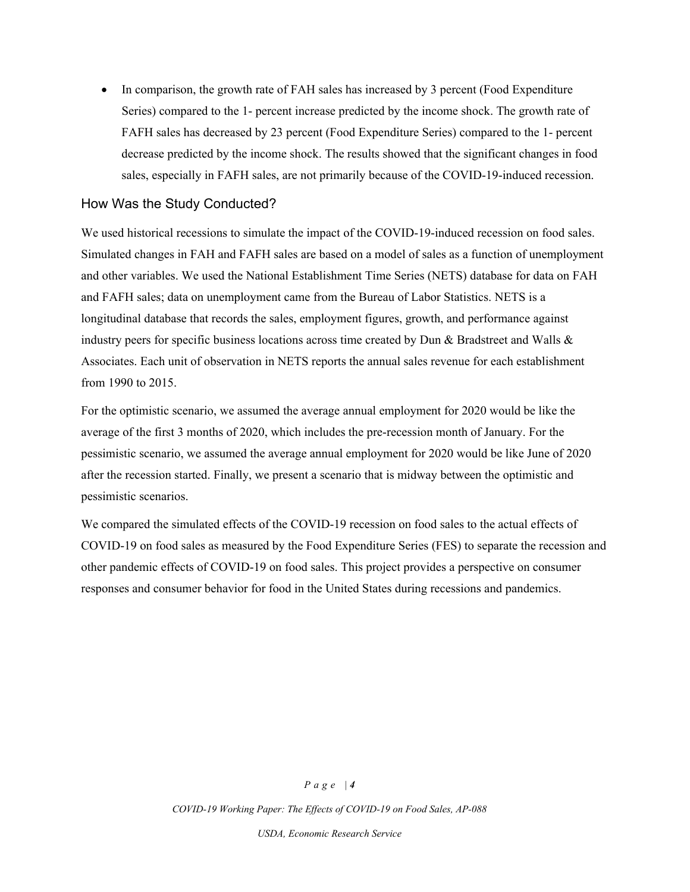• In comparison, the growth rate of FAH sales has increased by 3 percent (Food Expenditure Series) compared to the 1- percent increase predicted by the income shock. The growth rate of FAFH sales has decreased by 23 percent (Food Expenditure Series) compared to the 1- percent decrease predicted by the income shock. The results showed that the significant changes in food sales, especially in FAFH sales, are not primarily because of the COVID-19-induced recession.

### How Was the Study Conducted?

We used historical recessions to simulate the impact of the COVID-19-induced recession on food sales. Simulated changes in FAH and FAFH sales are based on a model of sales as a function of unemployment and other variables. We used the National Establishment Time Series (NETS) database for data on FAH and FAFH sales; data on unemployment came from the Bureau of Labor Statistics. NETS is a longitudinal database that records the sales, employment figures, growth, and performance against industry peers for specific business locations across time created by Dun & Bradstreet and Walls & Associates. Each unit of observation in NETS reports the annual sales revenue for each establishment from 1990 to 2015.

For the optimistic scenario, we assumed the average annual employment for 2020 would be like the average of the first 3 months of 2020, which includes the pre-recession month of January. For the pessimistic scenario, we assumed the average annual employment for 2020 would be like June of 2020 after the recession started. Finally, we present a scenario that is midway between the optimistic and pessimistic scenarios.

We compared the simulated effects of the COVID-19 recession on food sales to the actual effects of COVID-19 on food sales as measured by the Food Expenditure Series (FES) to separate the recession and other pandemic effects of COVID-19 on food sales. This project provides a perspective on consumer responses and consumer behavior for food in the United States during recessions and pandemics.

### *Page | 4*

*COVID-19 Working Paper: The Effects of COVID-19 on Food Sales, AP-088*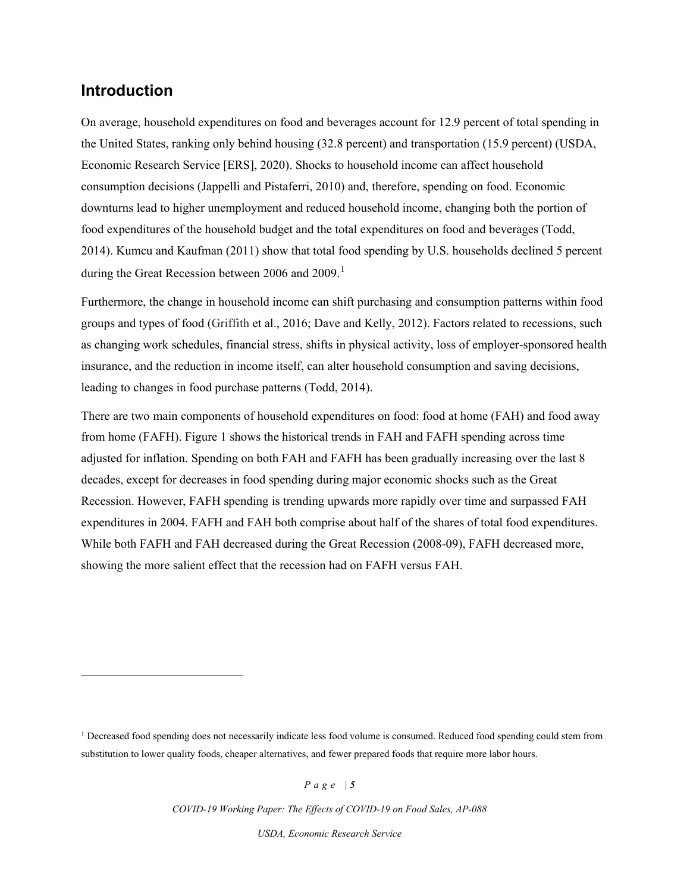## **Introduction**

On average, household expenditures on food and beverages account for 12.9 percent of total spending in the United States, ranking only behind housing (32.8 percent) and transportation (15.9 percent) (USDA, Economic Research Service [ERS], 2020). Shocks to household income can affect household consumption decisions (Jappelli and Pistaferri, 2010) and, therefore, spending on food. Economic downturns lead to higher unemployment and reduced household income, changing both the portion of food expenditures of the household budget and the total expenditures on food and beverages (Todd, 2014). Kumcu and Kaufman (2011) show that total food spending by U.S. households declined 5 percent during the Great Recession between 2006 and 2009.<sup>[1](#page-4-0)</sup>

Furthermore, the change in household income can shift purchasing and consumption patterns within food groups and types of food (Griffith et al., 2016; Dave and Kelly, 2012). Factors related to recessions, such as changing work schedules, financial stress, shifts in physical activity, loss of employer-sponsored health insurance, and the reduction in income itself, can alter household consumption and saving decisions, leading to changes in food purchase patterns (Todd, 2014).

There are two main components of household expenditures on food: food at home (FAH) and food away from home (FAFH). Figure 1 shows the historical trends in FAH and FAFH spending across time adjusted for inflation. Spending on both FAH and FAFH has been gradually increasing over the last 8 decades, except for decreases in food spending during major economic shocks such as the Great Recession. However, FAFH spending is trending upwards more rapidly over time and surpassed FAH expenditures in 2004. FAFH and FAH both comprise about half of the shares of total food expenditures. While both FAFH and FAH decreased during the Great Recession (2008-09), FAFH decreased more, showing the more salient effect that the recession had on FAFH versus FAH.

*Page | 5*

*COVID-19 Working Paper: The Effects of COVID-19 on Food Sales, AP-088* 

<span id="page-4-0"></span><sup>&</sup>lt;sup>1</sup> Decreased food spending does not necessarily indicate less food volume is consumed. Reduced food spending could stem from substitution to lower quality foods, cheaper alternatives, and fewer prepared foods that require more labor hours.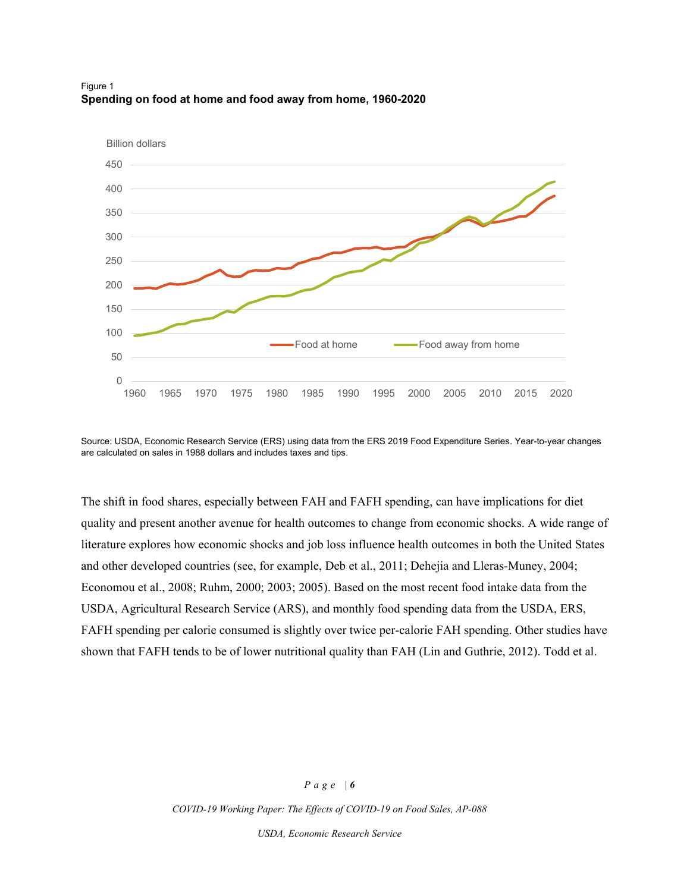



Source: USDA, Economic Research Service (ERS) using data from the ERS 2019 Food Expenditure Series. Year-to-year changes are calculated on sales in 1988 dollars and includes taxes and tips.

The shift in food shares, especially between FAH and FAFH spending, can have implications for diet quality and present another avenue for health outcomes to change from economic shocks. A wide range of literature explores how economic shocks and job loss influence health outcomes in both the United States and other developed countries (see, for example, Deb et al., 2011; Dehejia and Lleras-Muney, 2004; Economou et al., 2008; Ruhm, 2000; 2003; 2005). Based on the most recent food intake data from the USDA, Agricultural Research Service (ARS), and monthly food spending data from the USDA, ERS, FAFH spending per calorie consumed is slightly over twice per-calorie FAH spending. Other studies have shown that FAFH tends to be of lower nutritional quality than FAH (Lin and Guthrie, 2012). Todd et al.

#### *Page | 6*

*COVID-19 Working Paper: The Effects of COVID-19 on Food Sales, AP-088*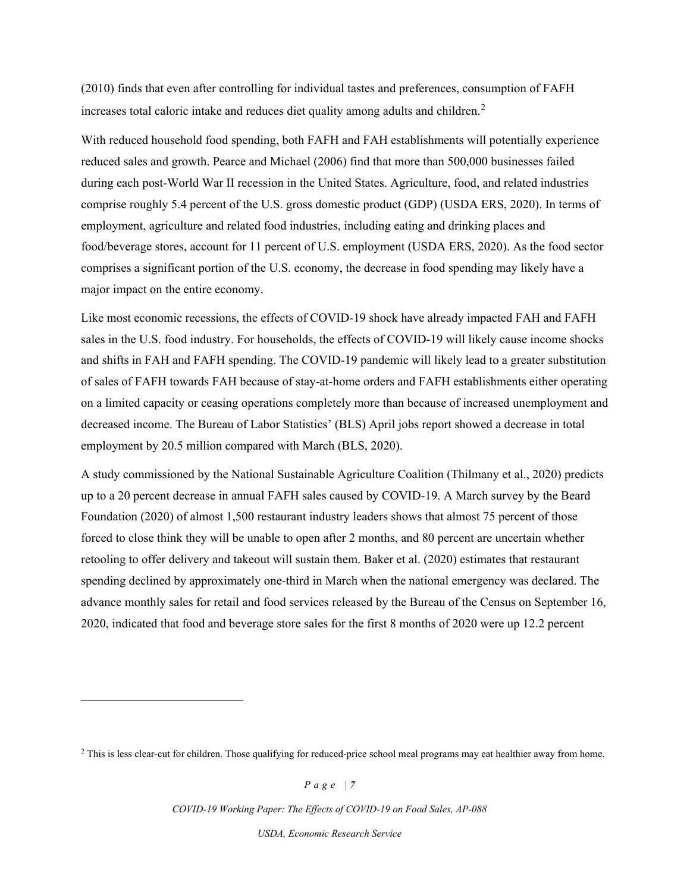(2010) finds that even after controlling for individual tastes and preferences, consumption of FAFH increases total caloric intake and reduces diet quality among adults and children.<sup>[2](#page-6-0)</sup>

With reduced household food spending, both FAFH and FAH establishments will potentially experience reduced sales and growth. Pearce and Michael (2006) find that more than 500,000 businesses failed during each post-World War II recession in the United States. Agriculture, food, and related industries comprise roughly 5.4 percent of the U.S. gross domestic product (GDP) (USDA ERS, 2020). In terms of employment, agriculture and related food industries, including eating and drinking places and food/beverage stores, account for 11 percent of U.S. employment (USDA ERS, 2020). As the food sector comprises a significant portion of the U.S. economy, the decrease in food spending may likely have a major impact on the entire economy.

Like most economic recessions, the effects of COVID-19 shock have already impacted FAH and FAFH sales in the U.S. food industry. For households, the effects of COVID-19 will likely cause income shocks and shifts in FAH and FAFH spending. The COVID-19 pandemic will likely lead to a greater substitution of sales of FAFH towards FAH because of stay-at-home orders and FAFH establishments either operating on a limited capacity or ceasing operations completely more than because of increased unemployment and decreased income. The Bureau of Labor Statistics' (BLS) April jobs report showed a decrease in total employment by 20.5 million compared with March (BLS, 2020).

A study commissioned by the National Sustainable Agriculture Coalition (Thilmany et al., 2020) predicts up to a 20 percent decrease in annual FAFH sales caused by COVID-19. A March survey by the Beard Foundation (2020) of almost 1,500 restaurant industry leaders shows that almost 75 percent of those forced to close think they will be unable to open after 2 months, and 80 percent are uncertain whether retooling to offer delivery and takeout will sustain them. Baker et al. (2020) estimates that restaurant spending declined by approximately one-third in March when the national emergency was declared. The advance monthly sales for retail and food services released by the Bureau of the Census on September 16, 2020, indicated that food and beverage store sales for the first 8 months of 2020 were up 12.2 percent

*COVID-19 Working Paper: The Effects of COVID-19 on Food Sales, AP-088* 

<span id="page-6-0"></span><sup>&</sup>lt;sup>2</sup> This is less clear-cut for children. Those qualifying for reduced-price school meal programs may eat healthier away from home.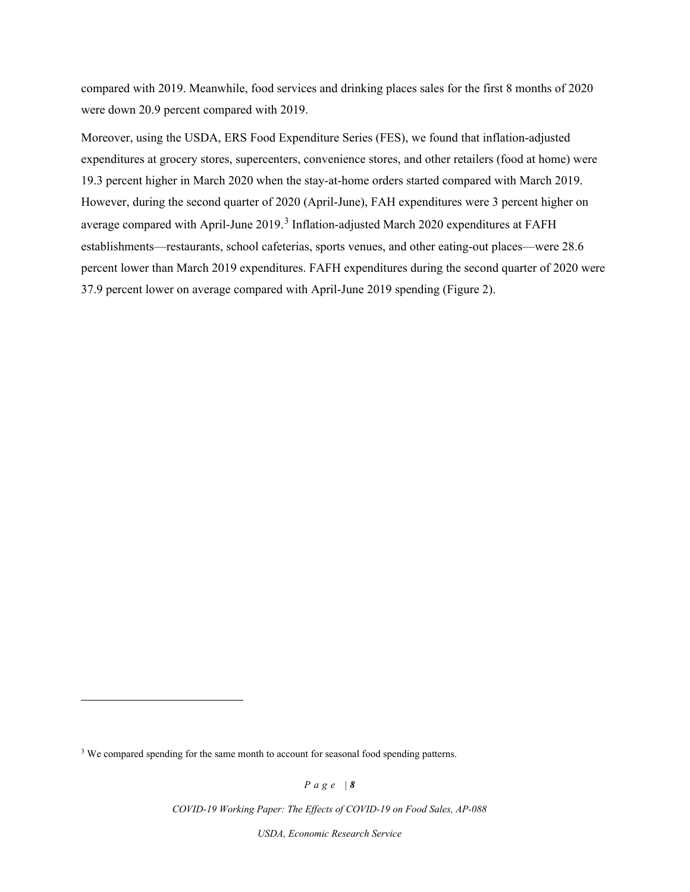compared with 2019. Meanwhile, food services and drinking places sales for the first 8 months of 2020 were down 20.9 percent compared with 2019.

Moreover, using the USDA, ERS Food Expenditure Series (FES), we found that inflation-adjusted expenditures at grocery stores, supercenters, convenience stores, and other retailers (food at home) were 19.3 percent higher in March 2020 when the stay-at-home orders started compared with March 2019. However, during the second quarter of 2020 (April-June), FAH expenditures were 3 percent higher on average compared with April-June  $2019<sup>3</sup>$  $2019<sup>3</sup>$  $2019<sup>3</sup>$  Inflation-adjusted March 2020 expenditures at FAFH establishments—restaurants, school cafeterias, sports venues, and other eating-out places—were 28.6 percent lower than March 2019 expenditures. FAFH expenditures during the second quarter of 2020 were 37.9 percent lower on average compared with April-June 2019 spending (Figure 2).

*Page | 8*

*COVID-19 Working Paper: The Effects of COVID-19 on Food Sales, AP-088* 

<span id="page-7-0"></span><sup>&</sup>lt;sup>3</sup> We compared spending for the same month to account for seasonal food spending patterns.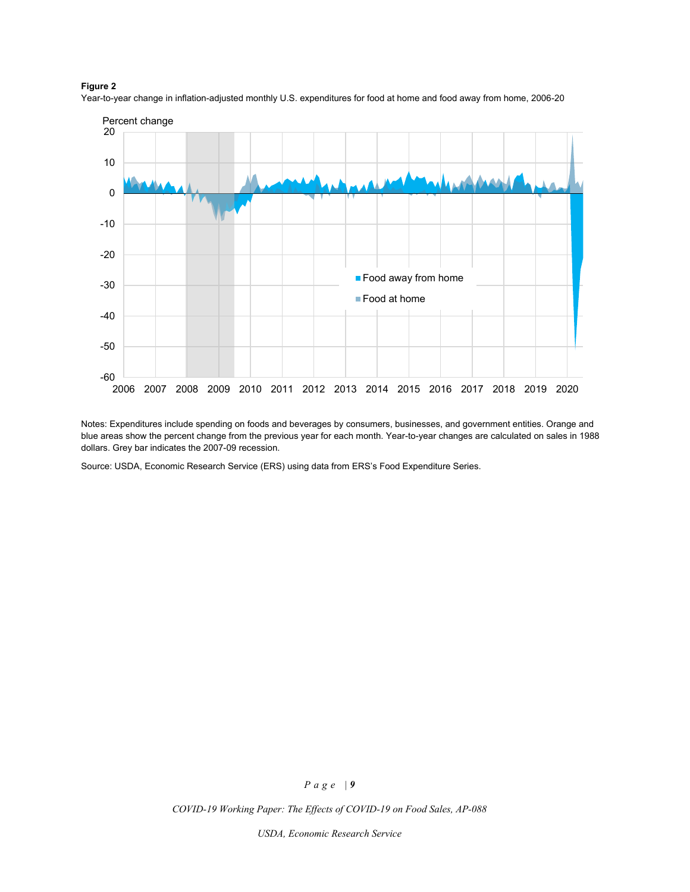#### **Figure 2**

Year-to-year change in inflation-adjusted monthly U.S. expenditures for food at home and food away from home, 2006-20



Notes: Expenditures include spending on foods and beverages by consumers, businesses, and government entities. Orange and blue areas show the percent change from the previous year for each month. Year-to-year changes are calculated on sales in 1988 dollars. Grey bar indicates the 2007-09 recession.

Source: USDA, Economic Research Service (ERS) using data from ERS's Food Expenditure Series.

### *Page | 9*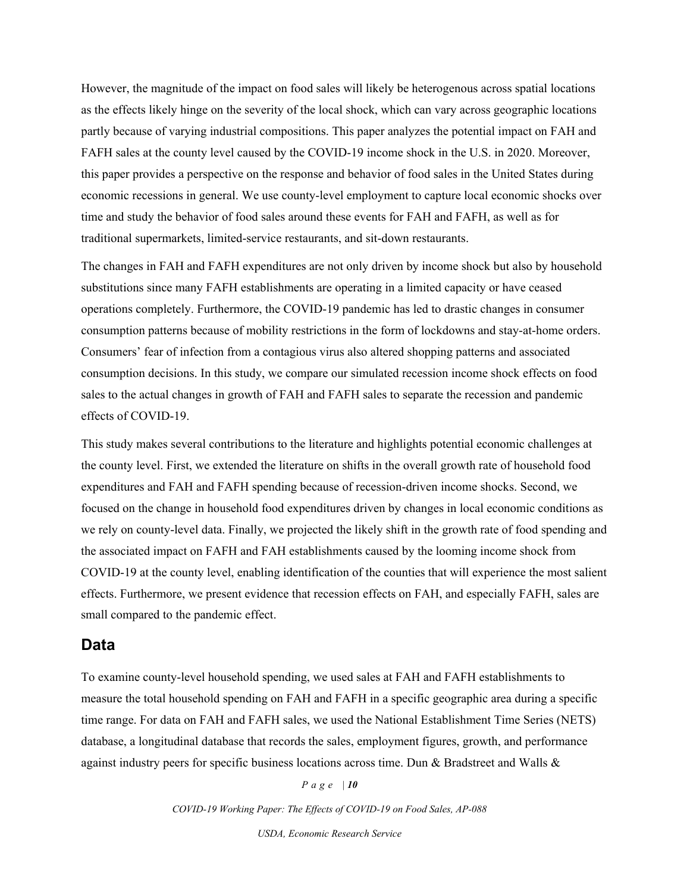However, the magnitude of the impact on food sales will likely be heterogenous across spatial locations as the effects likely hinge on the severity of the local shock, which can vary across geographic locations partly because of varying industrial compositions. This paper analyzes the potential impact on FAH and FAFH sales at the county level caused by the COVID-19 income shock in the U.S. in 2020. Moreover, this paper provides a perspective on the response and behavior of food sales in the United States during economic recessions in general. We use county-level employment to capture local economic shocks over time and study the behavior of food sales around these events for FAH and FAFH, as well as for traditional supermarkets, limited-service restaurants, and sit-down restaurants.

The changes in FAH and FAFH expenditures are not only driven by income shock but also by household substitutions since many FAFH establishments are operating in a limited capacity or have ceased operations completely. Furthermore, the COVID-19 pandemic has led to drastic changes in consumer consumption patterns because of mobility restrictions in the form of lockdowns and stay-at-home orders. Consumers' fear of infection from a contagious virus also altered shopping patterns and associated consumption decisions. In this study, we compare our simulated recession income shock effects on food sales to the actual changes in growth of FAH and FAFH sales to separate the recession and pandemic effects of COVID-19.

This study makes several contributions to the literature and highlights potential economic challenges at the county level. First, we extended the literature on shifts in the overall growth rate of household food expenditures and FAH and FAFH spending because of recession-driven income shocks. Second, we focused on the change in household food expenditures driven by changes in local economic conditions as we rely on county-level data. Finally, we projected the likely shift in the growth rate of food spending and the associated impact on FAFH and FAH establishments caused by the looming income shock from COVID-19 at the county level, enabling identification of the counties that will experience the most salient effects. Furthermore, we present evidence that recession effects on FAH, and especially FAFH, sales are small compared to the pandemic effect.

### **Data**

To examine county-level household spending, we used sales at FAH and FAFH establishments to measure the total household spending on FAH and FAFH in a specific geographic area during a specific time range. For data on FAH and FAFH sales, we used the National Establishment Time Series (NETS) database, a longitudinal database that records the sales, employment figures, growth, and performance against industry peers for specific business locations across time. Dun & Bradstreet and Walls &

#### *Page | 10*

*COVID-19 Working Paper: The Effects of COVID-19 on Food Sales, AP-088*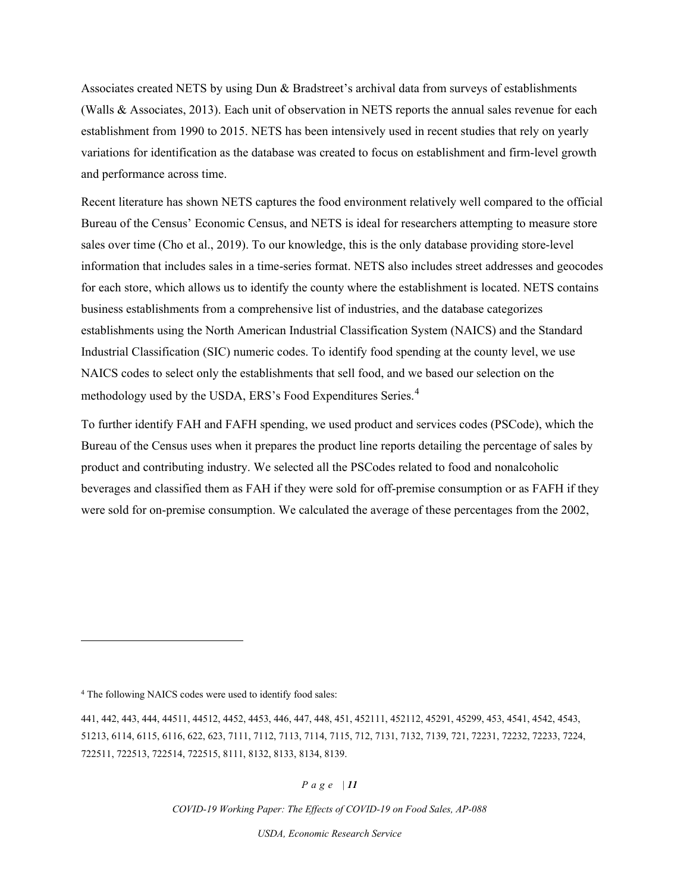Associates created NETS by using Dun & Bradstreet's archival data from surveys of establishments (Walls & Associates, 2013). Each unit of observation in NETS reports the annual sales revenue for each establishment from 1990 to 2015. NETS has been intensively used in recent studies that rely on yearly variations for identification as the database was created to focus on establishment and firm-level growth and performance across time.

Recent literature has shown NETS captures the food environment relatively well compared to the official Bureau of the Census' Economic Census, and NETS is ideal for researchers attempting to measure store sales over time (Cho et al., 2019). To our knowledge, this is the only database providing store-level information that includes sales in a time-series format. NETS also includes street addresses and geocodes for each store, which allows us to identify the county where the establishment is located. NETS contains business establishments from a comprehensive list of industries, and the database categorizes establishments using the North American Industrial Classification System (NAICS) and the Standard Industrial Classification (SIC) numeric codes. To identify food spending at the county level, we use NAICS codes to select only the establishments that sell food, and we based our selection on the methodology used by the USDA, ERS's Food Expenditures Series.<sup>[4](#page-10-0)</sup>

To further identify FAH and FAFH spending, we used product and services codes (PSCode), which the Bureau of the Census uses when it prepares the product line reports detailing the percentage of sales by product and contributing industry. We selected all the PSCodes related to food and nonalcoholic beverages and classified them as FAH if they were sold for off-premise consumption or as FAFH if they were sold for on-premise consumption. We calculated the average of these percentages from the 2002,

### *Page | 11*

*COVID-19 Working Paper: The Effects of COVID-19 on Food Sales, AP-088* 

<span id="page-10-0"></span><sup>4</sup> The following NAICS codes were used to identify food sales:

<sup>441, 442, 443, 444, 44511, 44512, 4452, 4453, 446, 447, 448, 451, 452111, 452112, 45291, 45299, 453, 4541, 4542, 4543,</sup>  51213, 6114, 6115, 6116, 622, 623, 7111, 7112, 7113, 7114, 7115, 712, 7131, 7132, 7139, 721, 72231, 72232, 72233, 7224, 722511, 722513, 722514, 722515, 8111, 8132, 8133, 8134, 8139.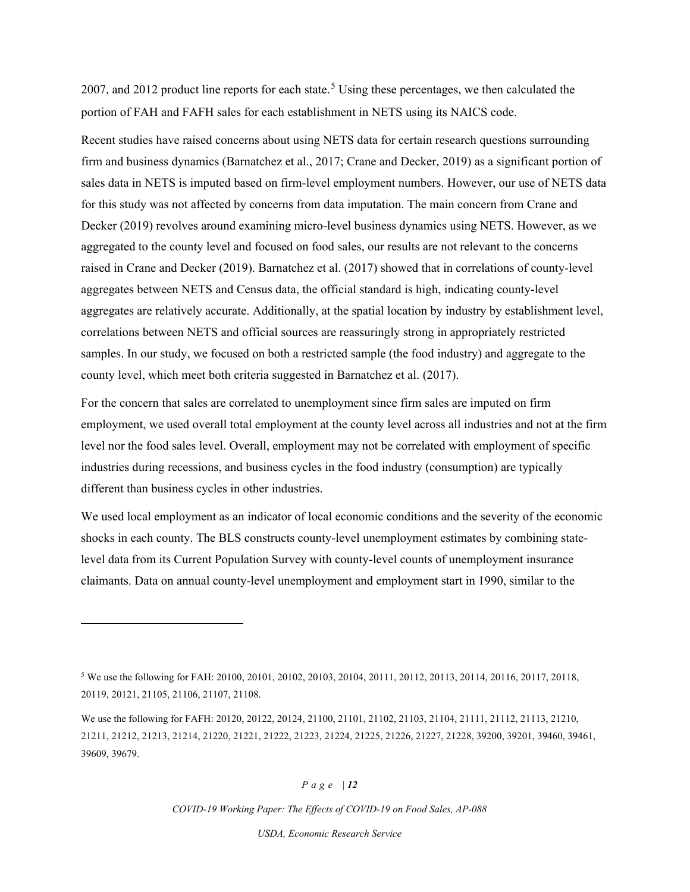2007, and 2012 product line reports for each state.<sup>[5](#page-11-0)</sup> Using these percentages, we then calculated the portion of FAH and FAFH sales for each establishment in NETS using its NAICS code.

Recent studies have raised concerns about using NETS data for certain research questions surrounding firm and business dynamics (Barnatchez et al., 2017; Crane and Decker, 2019) as a significant portion of sales data in NETS is imputed based on firm-level employment numbers. However, our use of NETS data for this study was not affected by concerns from data imputation. The main concern from Crane and Decker (2019) revolves around examining micro-level business dynamics using NETS. However, as we aggregated to the county level and focused on food sales, our results are not relevant to the concerns raised in Crane and Decker (2019). Barnatchez et al. (2017) showed that in correlations of county-level aggregates between NETS and Census data, the official standard is high, indicating county-level aggregates are relatively accurate. Additionally, at the spatial location by industry by establishment level, correlations between NETS and official sources are reassuringly strong in appropriately restricted samples. In our study, we focused on both a restricted sample (the food industry) and aggregate to the county level, which meet both criteria suggested in Barnatchez et al. (2017).

For the concern that sales are correlated to unemployment since firm sales are imputed on firm employment, we used overall total employment at the county level across all industries and not at the firm level nor the food sales level. Overall, employment may not be correlated with employment of specific industries during recessions, and business cycles in the food industry (consumption) are typically different than business cycles in other industries.

We used local employment as an indicator of local economic conditions and the severity of the economic shocks in each county. The BLS constructs county-level unemployment estimates by combining statelevel data from its Current Population Survey with county-level counts of unemployment insurance claimants. Data on annual county-level unemployment and employment start in 1990, similar to the

### *Page | 12*

<span id="page-11-0"></span><sup>5</sup> We use the following for FAH: 20100, 20101, 20102, 20103, 20104, 20111, 20112, 20113, 20114, 20116, 20117, 20118, 20119, 20121, 21105, 21106, 21107, 21108.

We use the following for FAFH: 20120, 20122, 20124, 21100, 21101, 21102, 21103, 21104, 21111, 21112, 21113, 21210, 21211, 21212, 21213, 21214, 21220, 21221, 21222, 21223, 21224, 21225, 21226, 21227, 21228, 39200, 39201, 39460, 39461, 39609, 39679.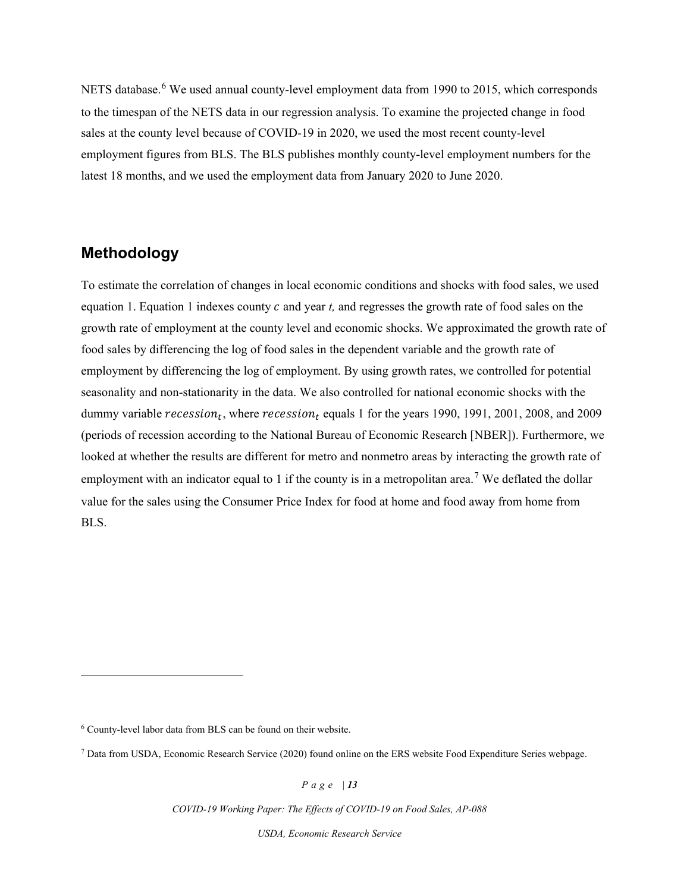NETS database.<sup>[6](#page-12-0)</sup> We used annual county-level employment data from 1990 to 2015, which corresponds to the timespan of the NETS data in our regression analysis. To examine the projected change in food sales at the county level because of COVID-19 in 2020, we used the most recent county-level employment figures from BLS. The BLS publishes monthly county-level employment numbers for the latest 18 months, and we used the employment data from January 2020 to June 2020.

# **Methodology**

To estimate the correlation of changes in local economic conditions and shocks with food sales, we used equation 1. Equation 1 indexes county c and year t, and regresses the growth rate of food sales on the growth rate of employment at the county level and economic shocks. We approximated the growth rate of food sales by differencing the log of food sales in the dependent variable and the growth rate of employment by differencing the log of employment. By using growth rates, we controlled for potential seasonality and non-stationarity in the data. We also controlled for national economic shocks with the dummy variable recession<sub>t</sub>, where recession<sub>t</sub> equals 1 for the years 1990, 1991, 2001, 2008, and 2009 (periods of recession according to the National Bureau of Economic Research [NBER]). Furthermore, we looked at whether the results are different for metro and nonmetro areas by interacting the growth rate of employment with an indicator equal to 1 if the county is in a metropolitan area.<sup>[7](#page-12-1)</sup> We deflated the dollar value for the sales using the Consumer Price Index for food at home and food away from home from BLS.

*Page | 13*

*COVID-19 Working Paper: The Effects of COVID-19 on Food Sales, AP-088* 

<span id="page-12-0"></span><sup>6</sup> County-level labor data from BLS can be found on their website.

<span id="page-12-1"></span><sup>7</sup> Data from USDA, Economic Research Service (2020) found online on the ERS website Food Expenditure Series webpage.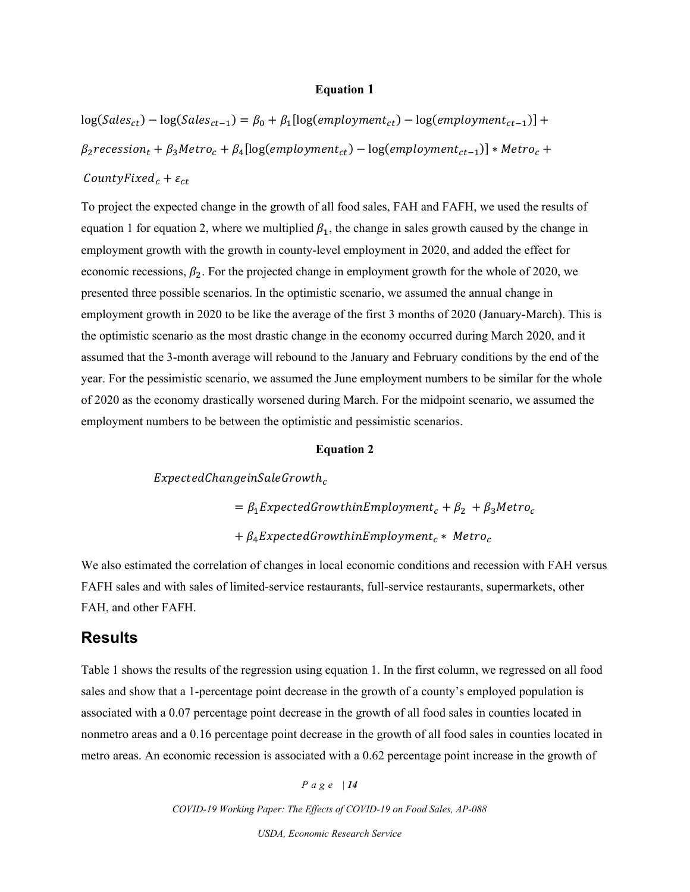### **Equation 1**

 $\log(Sales_{ct}) - \log(Sales_{ct-1}) = \beta_0 + \beta_1[\log(employment_{ct}) - \log(employment_{ct-1})] +$  $\beta_2$ recession<sub>t</sub> +  $\beta_3$ Metro<sub>c</sub> +  $\beta_4$ [log(employment<sub>ct</sub>) – log(employment<sub>ct-1</sub>)] \* Metro<sub>c</sub> + CountyFixed<sub>c</sub> +  $\varepsilon_{ct}$ 

To project the expected change in the growth of all food sales, FAH and FAFH, we used the results of equation 1 for equation 2, where we multiplied  $\beta_1$ , the change in sales growth caused by the change in employment growth with the growth in county-level employment in 2020, and added the effect for economic recessions,  $\beta_2$ . For the projected change in employment growth for the whole of 2020, we presented three possible scenarios. In the optimistic scenario, we assumed the annual change in employment growth in 2020 to be like the average of the first 3 months of 2020 (January-March). This is the optimistic scenario as the most drastic change in the economy occurred during March 2020, and it assumed that the 3-month average will rebound to the January and February conditions by the end of the year. For the pessimistic scenario, we assumed the June employment numbers to be similar for the whole of 2020 as the economy drastically worsened during March. For the midpoint scenario, we assumed the employment numbers to be between the optimistic and pessimistic scenarios.

### **Equation 2**

 $ExpectedChange in Sale Growth<sub>c</sub>$  $= \beta_1$ ExpectedGrowthinEmployment<sub>c</sub> +  $\beta_2$  +  $\beta_3$ Metro<sub>c</sub>  $+ \beta_4$ ExpectedGrowthinEmployment<sub>c</sub> \* Metro<sub>c</sub>

We also estimated the correlation of changes in local economic conditions and recession with FAH versus FAFH sales and with sales of limited-service restaurants, full-service restaurants, supermarkets, other FAH, and other FAFH.

### **Results**

Table 1 shows the results of the regression using equation 1. In the first column, we regressed on all food sales and show that a 1-percentage point decrease in the growth of a county's employed population is associated with a 0.07 percentage point decrease in the growth of all food sales in counties located in nonmetro areas and a 0.16 percentage point decrease in the growth of all food sales in counties located in metro areas. An economic recession is associated with a 0.62 percentage point increase in the growth of

*Page | 14*

*COVID-19 Working Paper: The Effects of COVID-19 on Food Sales, AP-088*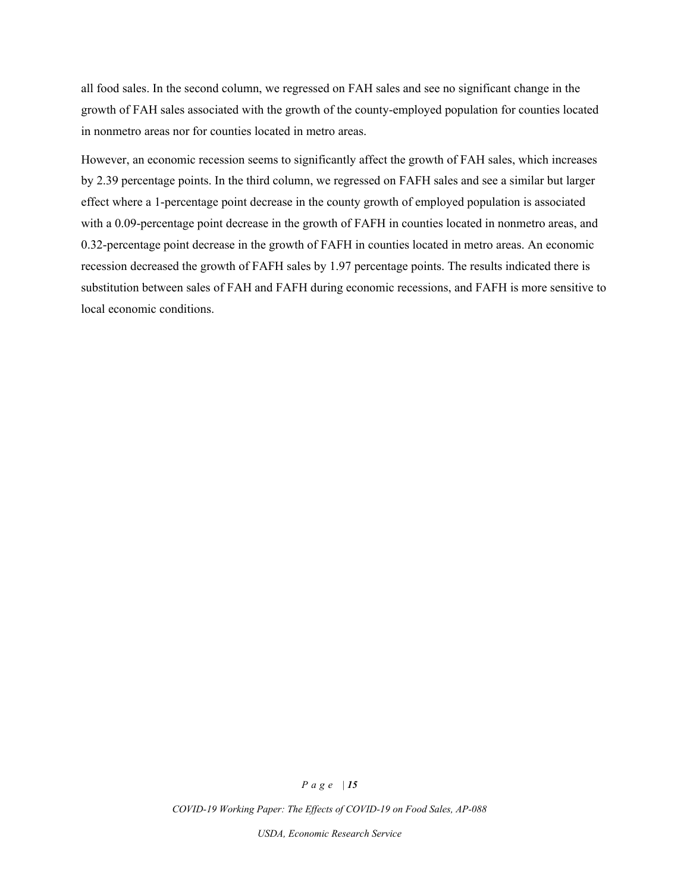all food sales. In the second column, we regressed on FAH sales and see no significant change in the growth of FAH sales associated with the growth of the county-employed population for counties located in nonmetro areas nor for counties located in metro areas.

However, an economic recession seems to significantly affect the growth of FAH sales, which increases by 2.39 percentage points. In the third column, we regressed on FAFH sales and see a similar but larger effect where a 1-percentage point decrease in the county growth of employed population is associated with a 0.09-percentage point decrease in the growth of FAFH in counties located in nonmetro areas, and 0.32-percentage point decrease in the growth of FAFH in counties located in metro areas. An economic recession decreased the growth of FAFH sales by 1.97 percentage points. The results indicated there is substitution between sales of FAH and FAFH during economic recessions, and FAFH is more sensitive to local economic conditions.

#### *Page | 15*

*COVID-19 Working Paper: The Effects of COVID-19 on Food Sales, AP-088*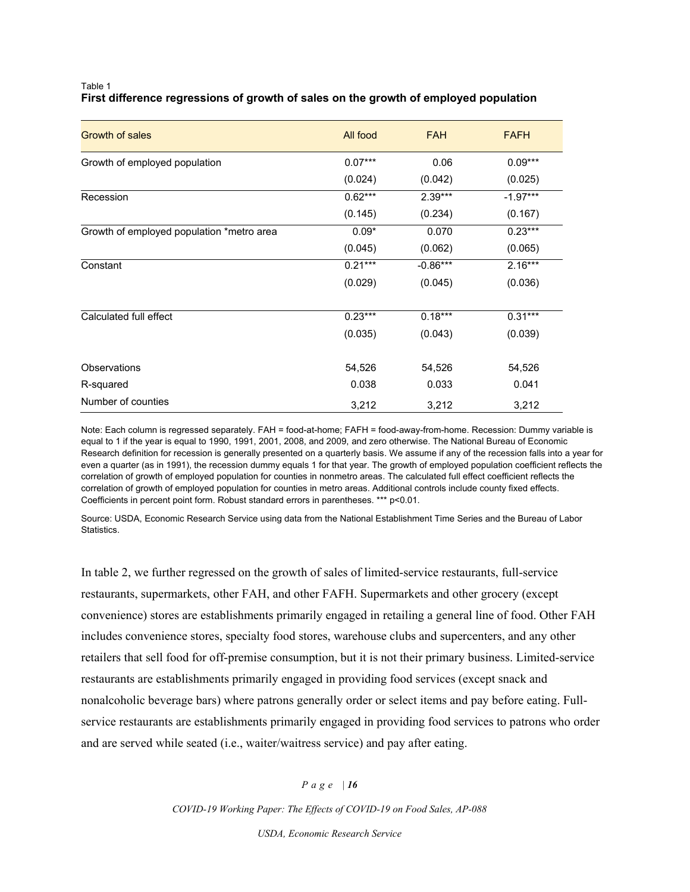### Table 1 **First difference regressions of growth of sales on the growth of employed population**

| <b>Growth of sales</b>                    | All food  | <b>FAH</b> | <b>FAFH</b> |
|-------------------------------------------|-----------|------------|-------------|
| Growth of employed population             | $0.07***$ | 0.06       | $0.09***$   |
|                                           | (0.024)   | (0.042)    | (0.025)     |
| Recession                                 | $0.62***$ | $2.39***$  | $-1.97***$  |
|                                           | (0.145)   | (0.234)    | (0.167)     |
| Growth of employed population *metro area | $0.09*$   | 0.070      | $0.23***$   |
|                                           | (0.045)   | (0.062)    | (0.065)     |
| Constant                                  | $0.21***$ | $-0.86***$ | $2.16***$   |
|                                           | (0.029)   | (0.045)    | (0.036)     |
|                                           |           |            |             |
| Calculated full effect                    | $0.23***$ | $0.18***$  | $0.31***$   |
|                                           | (0.035)   | (0.043)    | (0.039)     |
| <b>Observations</b>                       | 54,526    | 54,526     | 54,526      |
| R-squared                                 | 0.038     | 0.033      | 0.041       |
| Number of counties                        | 3,212     | 3,212      | 3,212       |

Note: Each column is regressed separately. FAH = food-at-home; FAFH = food-away-from-home. Recession: Dummy variable is equal to 1 if the year is equal to 1990, 1991, 2001, 2008, and 2009, and zero otherwise. The National Bureau of Economic Research definition for recession is generally presented on a quarterly basis. We assume if any of the recession falls into a year for even a quarter (as in 1991), the recession dummy equals 1 for that year. The growth of employed population coefficient reflects the correlation of growth of employed population for counties in nonmetro areas. The calculated full effect coefficient reflects the correlation of growth of employed population for counties in metro areas. Additional controls include county fixed effects. Coefficients in percent point form. Robust standard errors in parentheses. \*\*\* p<0.01.

Source: USDA, Economic Research Service using data from the National Establishment Time Series and the Bureau of Labor Statistics.

In table 2, we further regressed on the growth of sales of limited-service restaurants, full-service restaurants, supermarkets, other FAH, and other FAFH. Supermarkets and other grocery (except convenience) stores are establishments primarily engaged in retailing a general line of food. Other FAH includes convenience stores, specialty food stores, warehouse clubs and supercenters, and any other retailers that sell food for off-premise consumption, but it is not their primary business. Limited-service restaurants are establishments primarily engaged in providing food services (except snack and nonalcoholic beverage bars) where patrons generally order or select items and pay before eating. Fullservice restaurants are establishments primarily engaged in providing food services to patrons who order and are served while seated (i.e., waiter/waitress service) and pay after eating.

### *Page | 16*

*COVID-19 Working Paper: The Effects of COVID-19 on Food Sales, AP-088*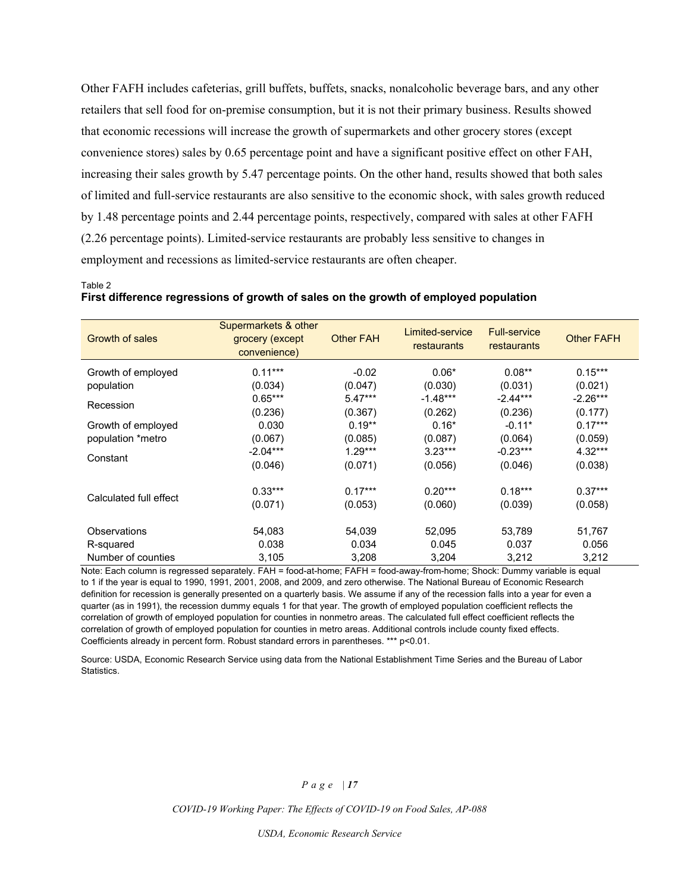Other FAFH includes cafeterias, grill buffets, buffets, snacks, nonalcoholic beverage bars, and any other retailers that sell food for on-premise consumption, but it is not their primary business. Results showed that economic recessions will increase the growth of supermarkets and other grocery stores (except convenience stores) sales by 0.65 percentage point and have a significant positive effect on other FAH, increasing their sales growth by 5.47 percentage points. On the other hand, results showed that both sales of limited and full-service restaurants are also sensitive to the economic shock, with sales growth reduced by 1.48 percentage points and 2.44 percentage points, respectively, compared with sales at other FAFH (2.26 percentage points). Limited-service restaurants are probably less sensitive to changes in employment and recessions as limited-service restaurants are often cheaper.

### Table 2 **First difference regressions of growth of sales on the growth of employed population**

| Growth of sales        | Supermarkets & other<br>grocery (except<br>convenience) | <b>Other FAH</b> | Limited-service<br>restaurants | <b>Full-service</b><br>restaurants | <b>Other FAFH</b> |
|------------------------|---------------------------------------------------------|------------------|--------------------------------|------------------------------------|-------------------|
| Growth of employed     | $0.11***$                                               | $-0.02$          | $0.06*$                        | $0.08**$                           | $0.15***$         |
| population             | (0.034)                                                 | (0.047)          | (0.030)                        | (0.031)                            | (0.021)           |
| Recession              | $0.65***$                                               | $5.47***$        | $-1.48***$                     | $-2.44***$                         | $-2.26***$        |
|                        | (0.236)                                                 | (0.367)          | (0.262)                        | (0.236)                            | (0.177)           |
| Growth of employed     | 0.030                                                   | $0.19**$         | $0.16*$                        | $-0.11*$                           | $0.17***$         |
| population *metro      | (0.067)                                                 | (0.085)          | (0.087)                        | (0.064)                            | (0.059)           |
| Constant               | $-2.04***$                                              | $1.29***$        | $3.23***$                      | $-0.23***$                         | $4.32***$         |
|                        | (0.046)                                                 | (0.071)          | (0.056)                        | (0.046)                            | (0.038)           |
| Calculated full effect | $0.33***$                                               | $0.17***$        | $0.20***$                      | $0.18***$                          | $0.37***$         |
|                        | (0.071)                                                 | (0.053)          | (0.060)                        | (0.039)                            | (0.058)           |
| Observations           | 54,083                                                  | 54,039           | 52,095                         | 53,789                             | 51,767            |
| R-squared              | 0.038                                                   | 0.034            | 0.045                          | 0.037                              | 0.056             |
| Number of counties     | 3,105                                                   | 3,208            | 3.204                          | 3,212                              | 3,212             |

Note: Each column is regressed separately. FAH = food-at-home; FAFH = food-away-from-home; Shock: Dummy variable is equal to 1 if the year is equal to 1990, 1991, 2001, 2008, and 2009, and zero otherwise. The National Bureau of Economic Research definition for recession is generally presented on a quarterly basis. We assume if any of the recession falls into a year for even a quarter (as in 1991), the recession dummy equals 1 for that year. The growth of employed population coefficient reflects the correlation of growth of employed population for counties in nonmetro areas. The calculated full effect coefficient reflects the correlation of growth of employed population for counties in metro areas. Additional controls include county fixed effects. Coefficients already in percent form. Robust standard errors in parentheses. \*\*\* p<0.01.

Source: USDA, Economic Research Service using data from the National Establishment Time Series and the Bureau of Labor Statistics.

### *Page | 17*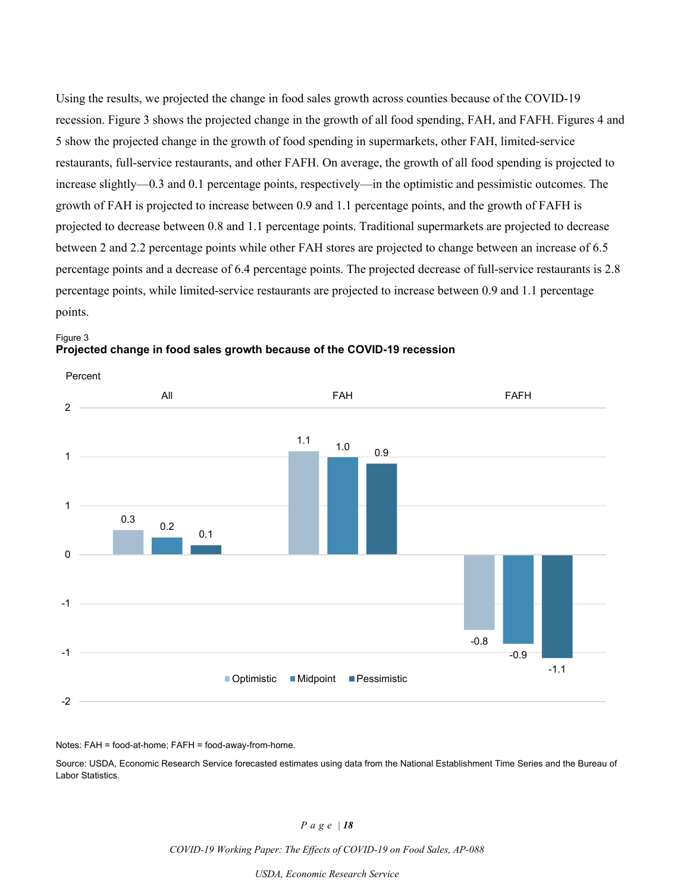Using the results, we projected the change in food sales growth across counties because of the COVID-19 recession. Figure 3 shows the projected change in the growth of all food spending, FAH, and FAFH. Figures 4 and 5 show the projected change in the growth of food spending in supermarkets, other FAH, limited-service restaurants, full-service restaurants, and other FAFH. On average, the growth of all food spending is projected to increase slightly—0.3 and 0.1 percentage points, respectively—in the optimistic and pessimistic outcomes. The growth of FAH is projected to increase between 0.9 and 1.1 percentage points, and the growth of FAFH is projected to decrease between 0.8 and 1.1 percentage points. Traditional supermarkets are projected to decrease between 2 and 2.2 percentage points while other FAH stores are projected to change between an increase of 6.5 percentage points and a decrease of 6.4 percentage points. The projected decrease of full-service restaurants is 2.8 percentage points, while limited-service restaurants are projected to increase between 0.9 and 1.1 percentage points.





Notes: FAH = food-at-home; FAFH = food-away-from-home.

Source: USDA, Economic Research Service forecasted estimates using data from the National Establishment Time Series and the Bureau of Labor Statistics.

#### *Page | 18*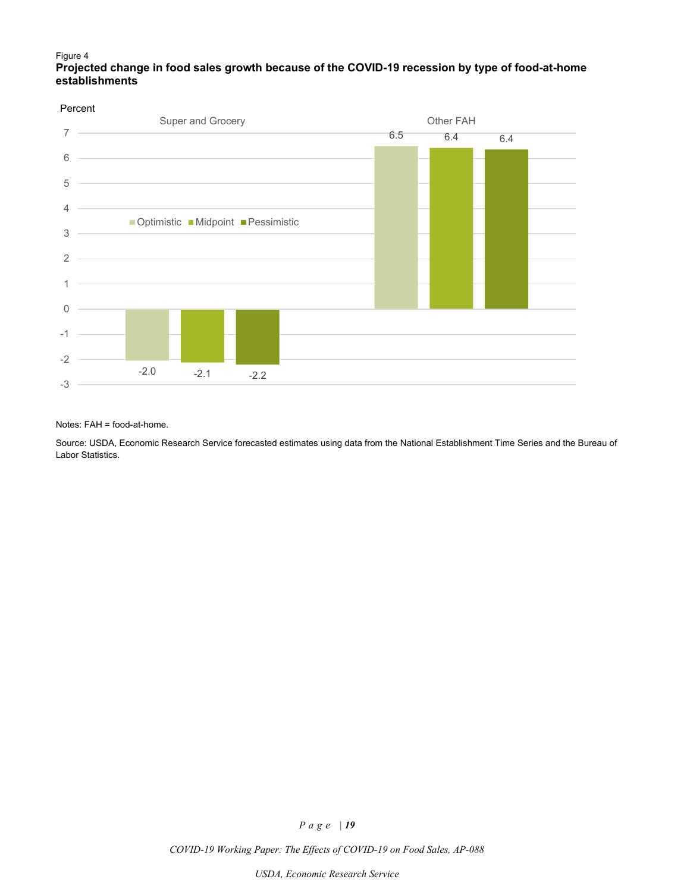### Figure 4 **Projected change in food sales growth because of the COVID-19 recession by type of food-at-home establishments**

#### Percent



#### Notes: FAH = food-at-home.

Source: USDA, Economic Research Service forecasted estimates using data from the National Establishment Time Series and the Bureau of Labor Statistics.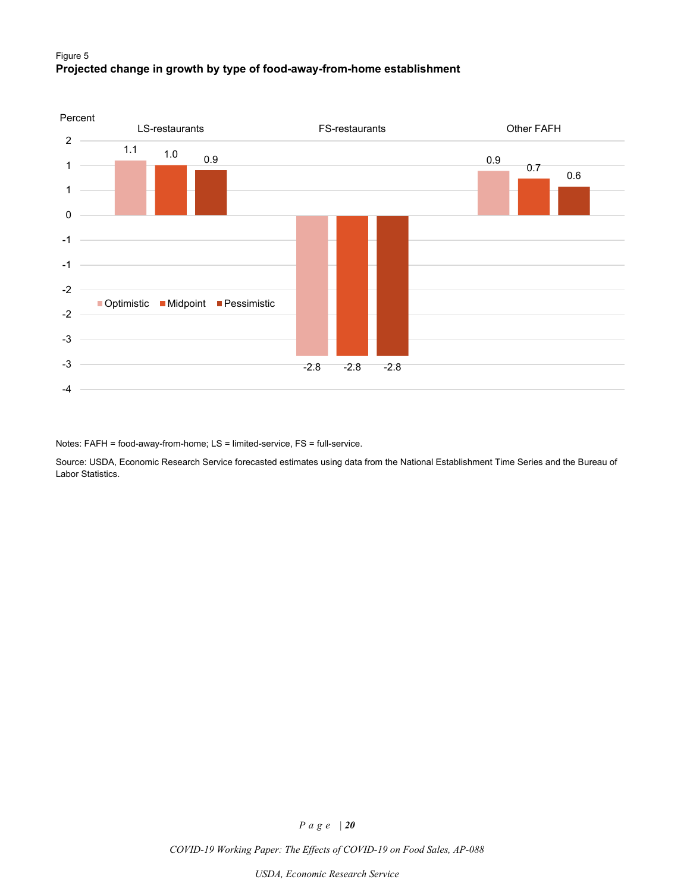### Figure 5 **Projected change in growth by type of food-away-from-home establishment**



Notes: FAFH = food-away-from-home; LS = limited-service, FS = full-service.

Source: USDA, Economic Research Service forecasted estimates using data from the National Establishment Time Series and the Bureau of Labor Statistics.

*Page | 20*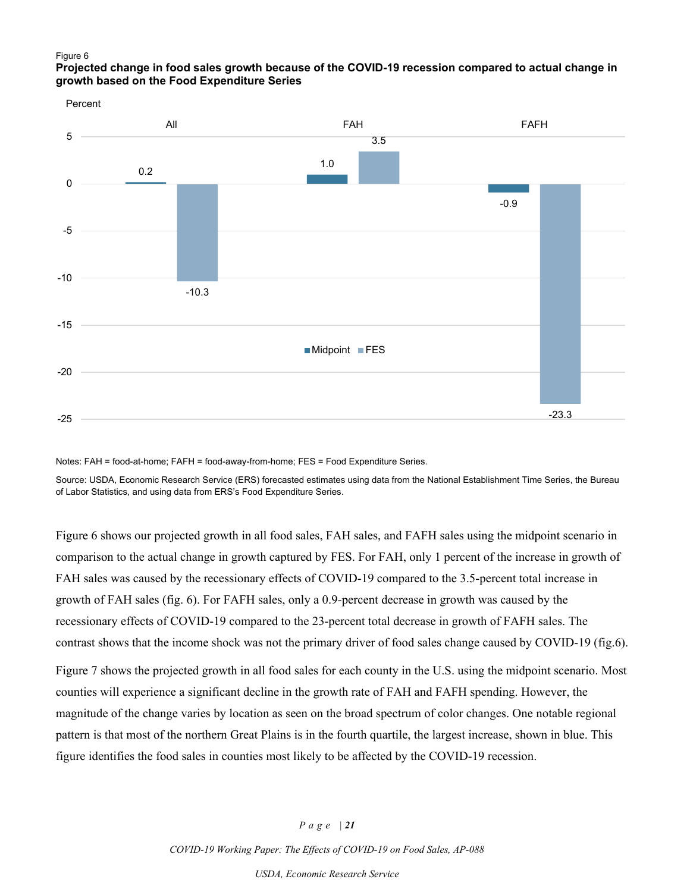#### Figure 6

### **Projected change in food sales growth because of the COVID-19 recession compared to actual change in growth based on the Food Expenditure Series**



Notes: FAH = food-at-home; FAFH = food-away-from-home; FES = Food Expenditure Series.

Source: USDA, Economic Research Service (ERS) forecasted estimates using data from the National Establishment Time Series, the Bureau of Labor Statistics, and using data from ERS's Food Expenditure Series.

Figure 6 shows our projected growth in all food sales, FAH sales, and FAFH sales using the midpoint scenario in comparison to the actual change in growth captured by FES. For FAH, only 1 percent of the increase in growth of FAH sales was caused by the recessionary effects of COVID-19 compared to the 3.5-percent total increase in growth of FAH sales (fig. 6). For FAFH sales, only a 0.9-percent decrease in growth was caused by the recessionary effects of COVID-19 compared to the 23-percent total decrease in growth of FAFH sales. The contrast shows that the income shock was not the primary driver of food sales change caused by COVID-19 (fig.6).

Figure 7 shows the projected growth in all food sales for each county in the U.S. using the midpoint scenario. Most counties will experience a significant decline in the growth rate of FAH and FAFH spending. However, the magnitude of the change varies by location as seen on the broad spectrum of color changes. One notable regional pattern is that most of the northern Great Plains is in the fourth quartile, the largest increase, shown in blue. This figure identifies the food sales in counties most likely to be affected by the COVID-19 recession.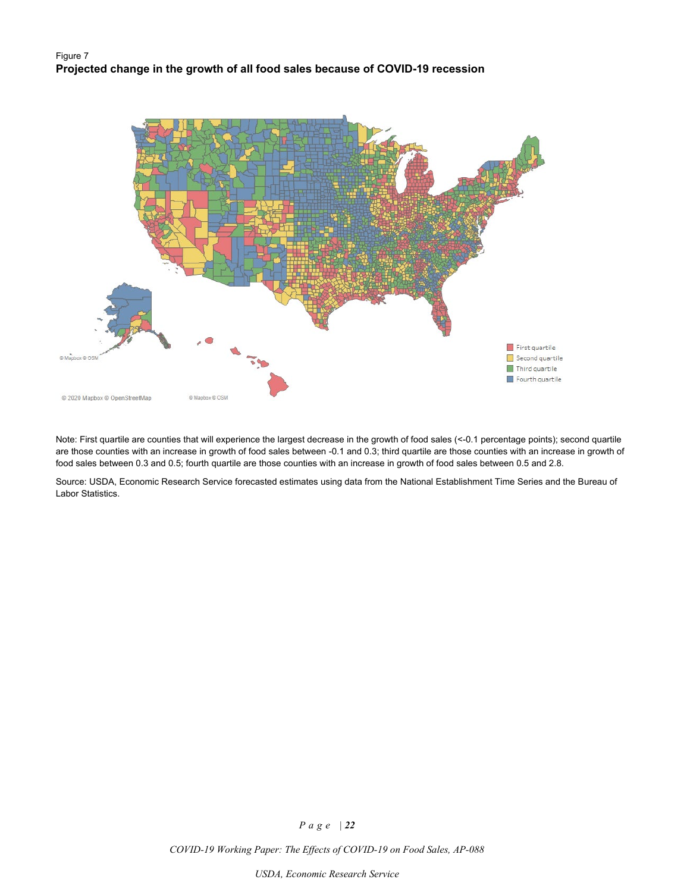### Figure 7 **Projected change in the growth of all food sales because of COVID-19 recession**



Note: First quartile are counties that will experience the largest decrease in the growth of food sales (<-0.1 percentage points); second quartile are those counties with an increase in growth of food sales between -0.1 and 0.3; third quartile are those counties with an increase in growth of food sales between 0.3 and 0.5; fourth quartile are those counties with an increase in growth of food sales between 0.5 and 2.8.

Source: USDA, Economic Research Service forecasted estimates using data from the National Establishment Time Series and the Bureau of Labor Statistics.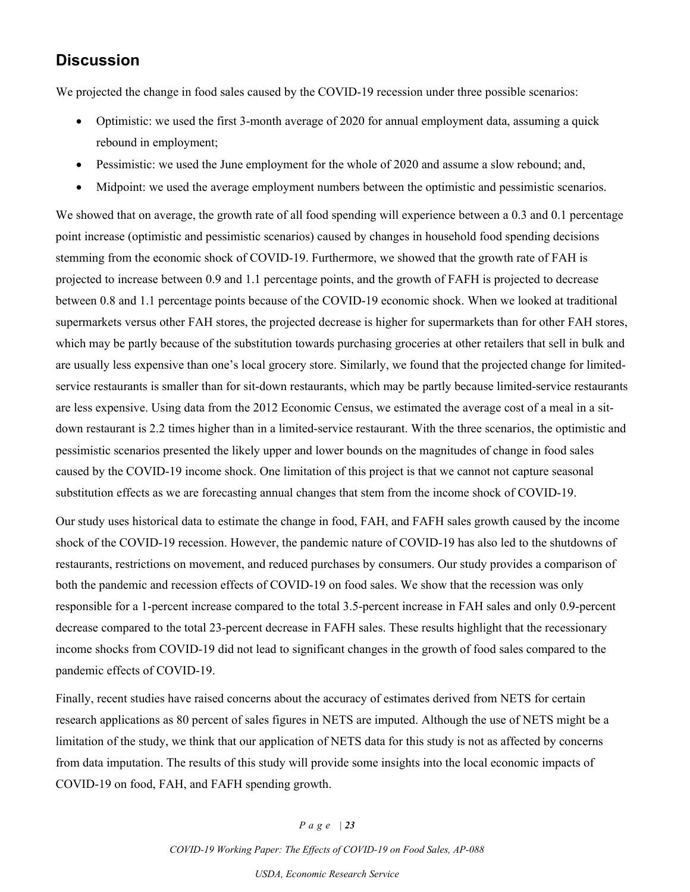# **Discussion**

We projected the change in food sales caused by the COVID-19 recession under three possible scenarios:

- Optimistic: we used the first 3-month average of 2020 for annual employment data, assuming a quick rebound in employment;
- Pessimistic: we used the June employment for the whole of 2020 and assume a slow rebound; and,
- Midpoint: we used the average employment numbers between the optimistic and pessimistic scenarios.

We showed that on average, the growth rate of all food spending will experience between a 0.3 and 0.1 percentage point increase (optimistic and pessimistic scenarios) caused by changes in household food spending decisions stemming from the economic shock of COVID-19. Furthermore, we showed that the growth rate of FAH is projected to increase between 0.9 and 1.1 percentage points, and the growth of FAFH is projected to decrease between 0.8 and 1.1 percentage points because of the COVID-19 economic shock. When we looked at traditional supermarkets versus other FAH stores, the projected decrease is higher for supermarkets than for other FAH stores, which may be partly because of the substitution towards purchasing groceries at other retailers that sell in bulk and are usually less expensive than one's local grocery store. Similarly, we found that the projected change for limitedservice restaurants is smaller than for sit-down restaurants, which may be partly because limited-service restaurants are less expensive. Using data from the 2012 Economic Census, we estimated the average cost of a meal in a sitdown restaurant is 2.2 times higher than in a limited-service restaurant. With the three scenarios, the optimistic and pessimistic scenarios presented the likely upper and lower bounds on the magnitudes of change in food sales caused by the COVID-19 income shock. One limitation of this project is that we cannot not capture seasonal substitution effects as we are forecasting annual changes that stem from the income shock of COVID-19.

Our study uses historical data to estimate the change in food, FAH, and FAFH sales growth caused by the income shock of the COVID-19 recession. However, the pandemic nature of COVID-19 has also led to the shutdowns of restaurants, restrictions on movement, and reduced purchases by consumers. Our study provides a comparison of both the pandemic and recession effects of COVID-19 on food sales. We show that the recession was only responsible for a 1-percent increase compared to the total 3.5-percent increase in FAH sales and only 0.9-percent decrease compared to the total 23-percent decrease in FAFH sales. These results highlight that the recessionary income shocks from COVID-19 did not lead to significant changes in the growth of food sales compared to the pandemic effects of COVID-19.

Finally, recent studies have raised concerns about the accuracy of estimates derived from NETS for certain research applications as 80 percent of sales figures in NETS are imputed. Although the use of NETS might be a limitation of the study, we think that our application of NETS data for this study is not as affected by concerns from data imputation. The results of this study will provide some insights into the local economic impacts of COVID-19 on food, FAH, and FAFH spending growth.

#### *Page | 23*

*COVID-19 Working Paper: The Effects of COVID-19 on Food Sales, AP-088*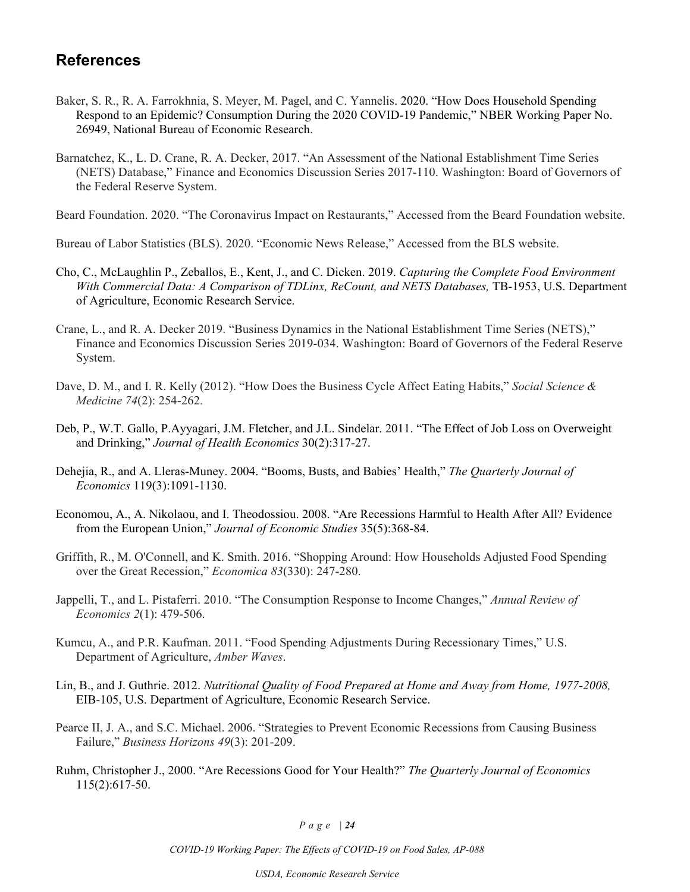# **References**

- Baker, S. R., R. A. Farrokhnia, S. Meyer, M. Pagel, and C. Yannelis. 2020. "How Does Household Spending Respond to an Epidemic? Consumption During the 2020 COVID-19 Pandemic," NBER Working Paper No. 26949, National Bureau of Economic Research.
- Barnatchez, K., L. D. Crane, R. A. Decker, 2017. "An Assessment of the National Establishment Time Series (NETS) Database," Finance and Economics Discussion Series 2017-110. Washington: Board of Governors of the Federal Reserve System.

Beard Foundation. 2020. "The Coronavirus Impact on Restaurants," Accessed from the Beard Foundation website.

Bureau of Labor Statistics (BLS). 2020. "Economic News Release," Accessed from the BLS website.

- Cho, C., McLaughlin P., Zeballos, E., Kent, J., and C. Dicken. 2019. *Capturing the Complete Food Environment With Commercial Data: A Comparison of TDLinx, ReCount, and NETS Databases,* TB-1953, U.S. Department of Agriculture, Economic Research Service.
- Crane, L., and R. A. Decker 2019. "Business Dynamics in the National Establishment Time Series (NETS)," Finance and Economics Discussion Series 2019-034. Washington: Board of Governors of the Federal Reserve System.
- Dave, D. M., and I. R. Kelly (2012). "How Does the Business Cycle Affect Eating Habits," *Social Science & Medicine 74*(2): 254-262.
- Deb, P., W.T. Gallo, P.Ayyagari, J.M. Fletcher, and J.L. Sindelar. 2011. "The Effect of Job Loss on Overweight and Drinking," *Journal of Health Economics* 30(2):317-27.
- Dehejia, R., and A. Lleras-Muney. 2004. "Booms, Busts, and Babies' Health," *The Quarterly Journal of Economics* 119(3):1091-1130.
- Economou, A., A. Nikolaou, and I. Theodossiou. 2008. "Are Recessions Harmful to Health After All? Evidence from the European Union," *Journal of Economic Studies* 35(5):368-84.
- Griffith, R., M. O'Connell, and K. Smith. 2016. "Shopping Around: How Households Adjusted Food Spending over the Great Recession," *Economica 83*(330): 247-280.
- Jappelli, T., and L. Pistaferri. 2010. "The Consumption Response to Income Changes," *Annual Review of Economics 2*(1): 479-506.
- Kumcu, A., and P.R. Kaufman. 2011. "Food Spending Adjustments During Recessionary Times," U.S. Department of Agriculture, *Amber Waves*.
- Lin, B., and J. Guthrie. 2012. *Nutritional Quality of Food Prepared at Home and Away from Home, 1977-2008,* EIB-105, U.S. Department of Agriculture, Economic Research Service.
- Pearce II, J. A., and S.C. Michael. 2006. "Strategies to Prevent Economic Recessions from Causing Business Failure," *Business Horizons 49*(3): 201-209.
- Ruhm, Christopher J., 2000. "Are Recessions Good for Your Health?" *The Quarterly Journal of Economics* 115(2):617-50.

*Page | 24*

*COVID-19 Working Paper: The Effects of COVID-19 on Food Sales, AP-088*